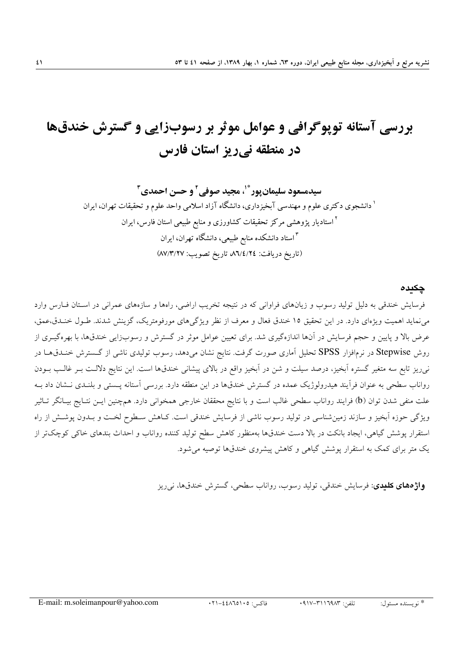## بررسی آستانه توپوگرافی و عوامل موثر بر رسوبزایی و گسترش خندقها در منطقه نیریز استان فارس

سيدمسعود سليمان يور ٌّ ٰ، مجيد صوفي ِ و حسن احمدي ِ ۖ <sup>۱</sup> دانشجوی دکتری علوم و مهندسی آبخیزداری، دانشگاه آزاد اسلامی واحد علوم و تحقیقات تهران، ایران <sup>۲</sup> استادیار پژوهشی مرکز تحقیقات کشاورزی و منابع طبیعی استان فارس، ایران ۱۳ستاد دانشکده منابع طبیعی، دانشگاه تهران، ایران (تاريخ دريافت: ٨٦/٤/٢٤ تاريخ تصويب: ٨٧/٣/٢٧)

## چکیدہ

فرسایش خندقی به دلیل تولید رسوب و زیانهای فراوانی که در نتیجه تخریب اراضی، راهها و سازههای عمرانی در استان فبارس وارد می نماید اهمیت ویژهای دارد. در این تحقیق ۱۵ خندق فعال و معرف از نظر ویژگیهای مورفومتریک، گزینش شدند. طـول خنـدق،عمق، عرض بالا و پایین و حجم فرسایش در آنها اندازهگیری شد. برای تعیین عوامل موثر در گسترش و رسوبزایی خندقها، با بهرهگیـری از روش Stepwise در نرمافزار SPSS تحلیل آماری صورت گرفت. نتایج نشان میدهد، رسوب تولیدی ناشی از گسترش خنـدق،هـا در نمیریز تابع سه متغیر گستره آبخیز، درصد سیلت و شن در آبخیز واقع در بالای پیشانی خندق،ها است. این نتایج دلالـت بـر غالـب بـودن رواناب سطحی به عنوان فرأیند هیدرولوژیک عمده در گسترش خندق،ها در این منطقه دارد. بررسی آستانه پستبی و بلنـدی نـشان داد بـه علت منفی شدن توان (b) فرایند رواناب سطحی غالب است و با نتایج محققان خارجی همخوانی دارد. همچنین ایــن نتــایج بیــانگر تــاثیر ویژگی حوزه آبخیز و سازند زمینشناسی در تولید رسوب ناشی از فرسایش خندقی است. کـاهش سـطوح لخـت و بـدون پوشـش از راه استقرار پوشش گیاهی، ایجاد بانکت در بالا دست خندقها بهمنظور کاهش سطح تولید کننده رواناب و احداث بندهای خاکی کوچک تر از یک متر برای کمک به استقرار پوشش گیاهی و کاهش پیشروی خندقها توصیه می شود.

**واژههای کلیدی**: فرسایش خندقی، تولید رسوب، رواناب سطحی، گسترش خندقها، ن<sub>وی</sub>ریز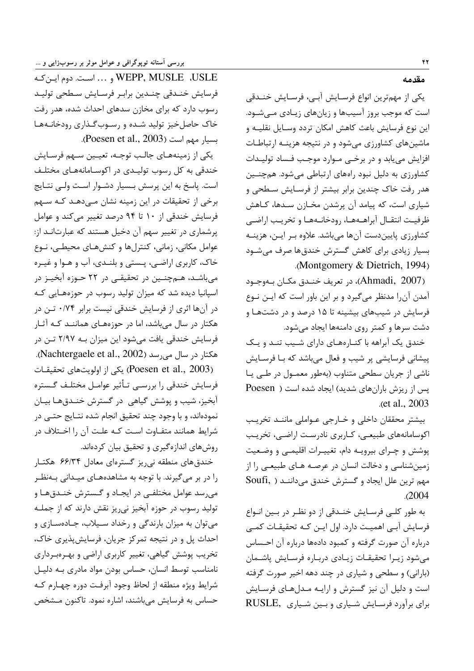WEPP, MUSLE ،USLE و ... است. دوم این کـه فرسايش خنـدقى چنـدين برابـر فرسـايش سـطحى توليـد رسوب دارد که برای مخازن سدهای احداث شده، هدر رفت خاک حاصل خیز تولید شده و رسوب گذاری رودخانـههـا بسيار مهم است (Poesen et al., 2003).

یکی از زمینههـای جالـب توجـه، تعیـین سـهم فرسـایش خندقی به کل رسوب تولیـدی در اکوسـامانههـای مختلـف است. پاسخ به این پرسش بـسیار دشـوار اسـت ولـی نتـایج برخی از تحقیقات در این زمینه نشان مـیدهـد کـه سـهم فرسایش خندقی از ۱۰ تا ۹۴ درصد تغییر میکند و عوامل پرشماری در تغییر سهم آن دخیل هستند که عبارتانـد از: عوامل مكاني، زماني، كنترلها و كنشهـاي محيطـي، نـوع خاک، کاربری اراضی، پـستی و بلنـدی، آب و هـوا و غيـره میباشـد، هــمچنــین در تحقیقــی در ۲۲ حــوزه آبخیــز در اسپانیا دیده شد که میزان تولید رسوب در حوزههـایی کـه در آنها اثری از فرسایش خندقی نیست برابر ۰/۷۴ تـن در هکتار در سال میباشد، اما در حوزههـای هماننـد کـه آثـار فرسایش خندقی یافت میشود این میزان بـه ۲/۹۷ تـن در هكتار در سال مى رسد (Nachtergaele et al., 2002). (Poesen et al., 2003) یکی از اولویتهای تحقیقـات فرسایش خندقی را بررسـی تـأثیر عوامـل مختلـف گـستره آبخیز، شیب و پوشش گیاهی در گسترش خنـدقهـا بیـان نمودهاند، و با وجود چند تحقیق انجام شده نتـایج حتــی در شرایط همانند متفـاوت اسـت کـه علـت آن را اخـتلاف در روشهای اندازهگیری و تحقیق بیان کردهاند.

خندق های منطقه نی <sub>د</sub>یز گستر مای معادل ۶۶/۳۴ هکتـار را در بر می گیرند. با توجه به مشاهدههـای میـدانی بـهنظـر می رسد عوامل مختلفـی در ایجـاد و گـسترش خنـدقهـا و تولید رسوب در حوزه آبخیز نیریز نقش دارند که از جملـه میتوان به میزان بارندگی و رخداد سـیلاب، جـادهسـازی و احداث پل و در نتیجه تمرکز جریان، فرسایشپذیری خاک، تخریب پوشش گیاهی، تغییر کاربری اراضی و بهـرهبـرداری نامناسب توسط انسان، حساس بودن مواد مادری بـه دلیـل شرايط ويژه منطقه از لحاظ وجود آبرفت دوره چهـارم كـه حساس به فرسایش میباشند، اشاره نمود. تاکنون مـشخص

مقدمه

یکی از مهمترین انواع فرسـایش آبـی، فرسـایش خنـدقی است که موجب بروز آسیبها و زیانهای زیادی مے شـود. این نوع فرسایش باعث کاهش امکان تردد وسـایل نقلیــه و ماشینهای کشاورزی می شود و در نتیجه هزینـه ارتباطـات افزایش می یابد و در برخی مـوارد موجـب فـساد تولیـدات کشاورزی به دلیل نبود راههای ارتباطی میشود. همچنین هدر رفت خاک چندین برابر بیشتر از فرسـایش سـطحی و شیاری است، که پیامد آن پرشدن مخـازن سـدها، کـاهش ظرفيت انتقـال آبراهـههـا، رودخانـههـا و تخريـب اراضـي کشاورزی پاییندست آنها میباشد. علاوه بر ایـن، هزینـه بسیار زیادی برای کاهش گسترش خندقها صرف می شـود .(Montgomery & Dietrich, 1994)

(Ahmadi, 2007)، در تعريف خنـدق مكـان بـهوجـود آمدن آن را مدنظر میگیرد و بر این باور است که ایـن نـوع فرسایش در شیبهای بیشینه تا ۱۵ درصد و در دشتهـا و دشت سرها و کمتر روی دامنهها ایجاد می شود.

خندق یک آبراهه با کنـارههـای دارای شـیب تنـد و یـک پیشانی فرسایشی پر شیب و فعال میباشد که بـا فرسـایش ناشي از جريان سطحي متناوب (بهطور معمـول در طـي پـا یس از ریزش بارانهای شدید) ایجاد شده است ( Poesen et al., 2003.

بيشتر محققان داخلي وخارجي عـواملي ماننـد تخريـب اکوسامانههای طبیعی، کـاربری نادرسـت اراضـی، تخریـب پوشش و چـرای بیرویـه دام، تغییـرات اقلیمـی و وضـعیت زمین شناسی و دخالت انسان در عرصـه هـای طبیعـی را از مهم ترين علل ايجاد و گسترش خندق مى داننـد ( Soufi,  $.2004$ 

به طور كلي فرسـايش خنـدقي از دو نظـر در بـين انـواع فرسایش آہے اہمیت دارد. اول اپن کـه تحقیقـات کمـی درباره آن صورت گرفته و کمبود دادهها درباره آن احـساس مى شود زيـرا تحقيقـات زيـادى دربـاره فرسـايش پاشـمان (بارانی) و سطحی و شیاری در چند دهه اخیر صورت گرفته است و دلیل آن نیز گسترش و ارایـه مـدلهـای فرسـایش برای برآورد فرسایش شیاری و بین شیاری RUSLE,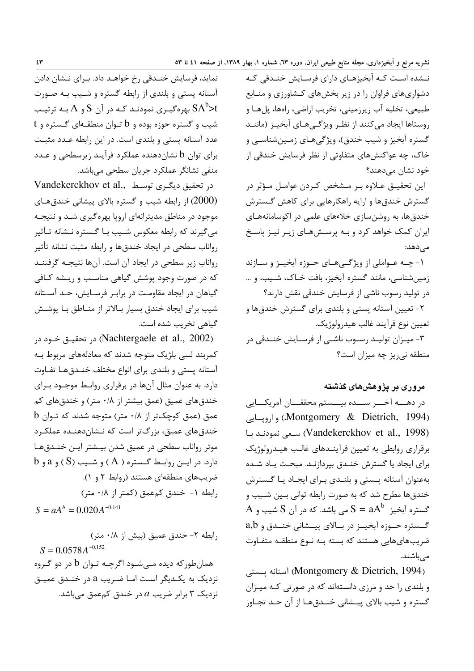نــشده اسـت کــه آبخیزهـای دارای فرسـایش خنــدقی کــه دشواریهای فراوان را در زیر بخشهای کشاورزی و منـابع طبيعي، تخليه آب زيرزميني، تخريب اراضي، راهها، پلهـا و روستاها ايجاد مىكنند از نظـر ويژگـىهـاى آبخيـز (ماننـد گستره آبخیز و شیب خندق)، ویژگیهای زمینشناسی و خاک، چه عواکنشهای متفاوتی از نظر فرسایش خندقی از خود نشان مے دھند؟

این تحقیـق عـلاوه بـر مـشخص كـردن عوامـل مـؤثر در گسترش خندقها و ارایه راهکارهایی برای کاهش گـسترش خندق ها، به روشن سازی خلاءهای علمی در اکوسامانههـای ایران کمک خواهد کرد و بـه پرسـشهـای زیـر نیـز پاسـخ مے دھد:

۱- چـه عـواملي از ويژگــيهـاي حـوزه آبخيــز و ســازند زمین شناسی، مانند گستره آبخیز، بافت خـاک، شـیب، و … در تولید رسوب ناشی از فرسایش خندقی نقش دارند؟ ۲- تعیین آستانه پستی و بلندی برای گسترش خندقها و تعيين نوع فرآيند غالب هيدرولوژيک.

۳- میـزان تولیـد رسـوب ناشـی از فرسـایش خنـدقی در منطقه نیریز چه میزان است؟

## مروری بر یژوهشهای گذشته

در دهـــه آخـــر ســـده بيـــستم محققـــان آمريكـــايي (Montgomery & Dietrich, 1994), واروسایی (Vandekerckhov et al., 1998) سعى نمودنـد بـا برقراری روابطی به تعیین فرآینـدهای غالـب هیـدرولوژیک برای ایجاد یا گسترش خنـدق بپردازنـد. مبحـث یـاد شـده بهعنوان آستانه يـستى و بلنـدى بـراى ايجـاد يـا گـسترش خندقها مطرح شد که به صورت رابطه توانی بـین شـیب و A ستره آبخیز  $\mathrm{a}\mathrm{A}^{\mathrm{b}}$   $\mathrm{a}\mathrm{B}=\mathrm{a}\mathrm{A}^{\mathrm{b}}$  می باشد. که در آن  $\mathrm{S}$  شیب و گــستره حــوزه آبخيــز در بــالاي پيــشاني خنــدق و a,b ضریبهایهایی هستند که بسته بـه نـوع منطقـه متفـاوت مے باشند.

(Montgomery & Dietrich, 1994) آستانه پستی و بلندی را حد و مرزی دانستهاند که در صورتی کـه میـزان گستره و شیب بالای پیـشانی خنـدقهـا از آن حـد تجـاوز

نماید، فرسایش خنـدقی رخ خواهـد داد. بـرای نـشان دادن آستانه پستی و بلندی از رابطه گستره و شـیب بـه صـورت بهرهگیـری نمودنـد کـه در آن S و A بـه ترتیـب  $\mathrm{SA}^{\mathrm{b}}$ حا  $t$  شیب و گستره حوزه بوده و b تـوان منطقـهای گـستره و عدد آستانه پستی و بلندی است. در این رابطه عـدد مثبـت برای توان b نشاندهنده عملکرد فرآیند زیرسطحی و عـدد منفی نشانگر عملکرد جریان سطحی میباشد.

Vandekerckhov et al., در تحقیق دیگری توسط (2000) از رابطه شیب و گستره بالای پیشانی خندق های موجود در مناطق مدیترانهای اروپا بهرهگیری شـد و نتیجـه می گیرند که رابطه معکوس شـیب بـا گـستره نـشانه تـأثیر رواناب سطحی در ایجاد خندقها و رابطه مثبت نشانه تأثیر رواناب زیر سطحی در ایجاد آن است. آنها نتیجـه گرفتنـد که در صورت وجود پوشش گیاهی مناسب و ریـشه کـافی گیاهان در ایجاد مقاومت در براب وفرسایش، حـد آسـتانه شیب برای ایجاد خندق بسیار بـالاتر از منـاطق بـا پوشـش گیاهی تخریب شده است.

(Nachtergaele et al., 2002) در تحقيــق خــود در کمربند لسی بلژیک متوجه شدند که معادلههای مربوط بـه آستانه يستى و بلندى براى انواع مختلف خنـدقهـا تفـاوت دارد. به عنوان مثال آنها در برقراری روابـط موجـود بـرای خندقهای عمیق (عمق بیشتر از ۰/۸ متر) و خندقهای کم عمق (عمق کوچکتر از ۰/۸ متر) متوجه شدند که تـوان b خندق های عمیق، بزرگتر است که نـشاندهنـده عملکـرد موثر رواناب سطحى در عميق شدن بيـشتر ايـن خنـدقهـا دارد. در اين روابط گستره ( A ) و شـيب (S ) و a و b ضریبهای منطقهای هستند (روابط ۲ و ۱). رابطه ١- خندق كمعمق (كمتر از ٠/٨ متر)  $S = aA^b = 0.020A^{-0.141}$ 

رابطه ٢- خندق عميق (بيش از ٠/٨ متر)  $S = 0.0578 A^{-0.152}$ همانطورکه دیده مـیشـود اگرچـه تـوان b در دو گـروه نزدیک به یکـدیگر اسـت امـا ضـریب a در خنـدق عمیـق نزدیک ۳ برابر ضریب  $a$  در خندق کمعمق می باشد.